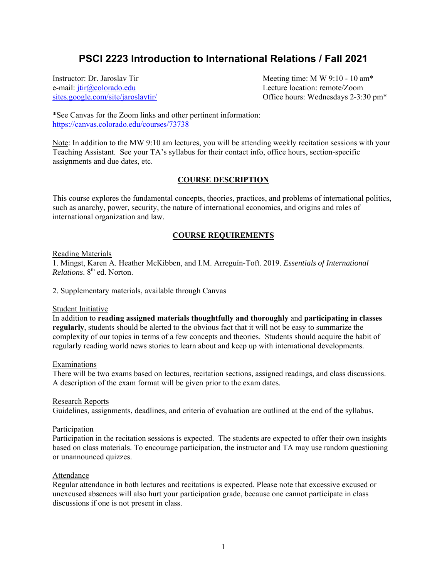# **PSCI 2223 Introduction to International Relations / Fall 2021**

e-mail: jtir@colorado.edu Lecture location: remote/Zoom

Instructor: Dr. Jaroslav Tir **Meeting time: MW** 9:10 - 10 am<sup>\*</sup> sites.google.com/site/jaroslavtir/ Office hours: Wednesdays 2-3:30 pm\*

\*See Canvas for the Zoom links and other pertinent information: https://canvas.colorado.edu/courses/73738

Note: In addition to the MW 9:10 am lectures, you will be attending weekly recitation sessions with your Teaching Assistant. See your TA's syllabus for their contact info, office hours, section-specific assignments and due dates, etc.

# **COURSE DESCRIPTION**

This course explores the fundamental concepts, theories, practices, and problems of international politics, such as anarchy, power, security, the nature of international economics, and origins and roles of international organization and law.

# **COURSE REQUIREMENTS**

## Reading Materials

1. Mingst, Karen A. Heather McKibben, and I.M. Arreguín-Toft. 2019. *Essentials of International Relations*. 8th ed. Norton.

2. Supplementary materials, available through Canvas

#### Student Initiative

In addition to **reading assigned materials thoughtfully and thoroughly** and **participating in classes regularly**, students should be alerted to the obvious fact that it will not be easy to summarize the complexity of our topics in terms of a few concepts and theories. Students should acquire the habit of regularly reading world news stories to learn about and keep up with international developments.

#### Examinations

There will be two exams based on lectures, recitation sections, assigned readings, and class discussions. A description of the exam format will be given prior to the exam dates.

# Research Reports

Guidelines, assignments, deadlines, and criteria of evaluation are outlined at the end of the syllabus.

#### Participation

Participation in the recitation sessions is expected. The students are expected to offer their own insights based on class materials. To encourage participation, the instructor and TA may use random questioning or unannounced quizzes.

#### Attendance

Regular attendance in both lectures and recitations is expected. Please note that excessive excused or unexcused absences will also hurt your participation grade, because one cannot participate in class discussions if one is not present in class.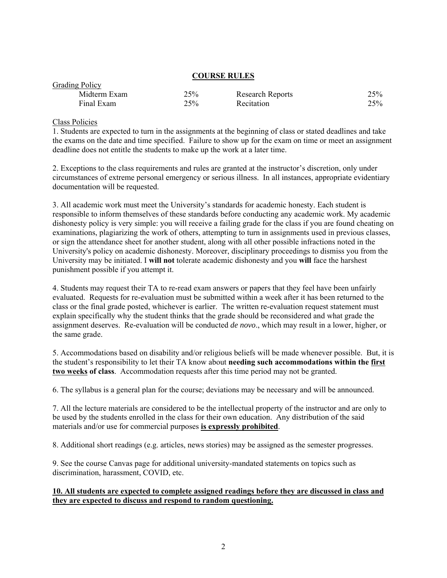## **COURSE RULES**

| <b>OTAGHILLY</b> |     |                  |     |
|------------------|-----|------------------|-----|
| Midterm Exam     | 25% | Research Reports | 25% |
| Final Exam       | 25% | Recitation       | 25% |

Class Policies

Grading Policy

1. Students are expected to turn in the assignments at the beginning of class or stated deadlines and take the exams on the date and time specified. Failure to show up for the exam on time or meet an assignment deadline does not entitle the students to make up the work at a later time.

2. Exceptions to the class requirements and rules are granted at the instructor's discretion, only under circumstances of extreme personal emergency or serious illness. In all instances, appropriate evidentiary documentation will be requested.

3. All academic work must meet the University's standards for academic honesty. Each student is responsible to inform themselves of these standards before conducting any academic work. My academic dishonesty policy is very simple: you will receive a failing grade for the class if you are found cheating on examinations, plagiarizing the work of others, attempting to turn in assignments used in previous classes, or sign the attendance sheet for another student, along with all other possible infractions noted in the University's policy on academic dishonesty. Moreover, disciplinary proceedings to dismiss you from the University may be initiated. I **will not** tolerate academic dishonesty and you **will** face the harshest punishment possible if you attempt it.

4. Students may request their TA to re-read exam answers or papers that they feel have been unfairly evaluated. Requests for re-evaluation must be submitted within a week after it has been returned to the class or the final grade posted, whichever is earlier. The written re-evaluation request statement must explain specifically why the student thinks that the grade should be reconsidered and what grade the assignment deserves. Re-evaluation will be conducted *de novo*., which may result in a lower, higher, or the same grade.

5. Accommodations based on disability and/or religious beliefs will be made whenever possible. But, it is the student's responsibility to let their TA know about **needing such accommodations within the first two weeks of class**. Accommodation requests after this time period may not be granted.

6. The syllabus is a general plan for the course; deviations may be necessary and will be announced.

7. All the lecture materials are considered to be the intellectual property of the instructor and are only to be used by the students enrolled in the class for their own education. Any distribution of the said materials and/or use for commercial purposes **is expressly prohibited**.

8. Additional short readings (e.g. articles, news stories) may be assigned as the semester progresses.

9. See the course Canvas page for additional university-mandated statements on topics such as discrimination, harassment, COVID, etc.

# **10. All students are expected to complete assigned readings before they are discussed in class and they are expected to discuss and respond to random questioning.**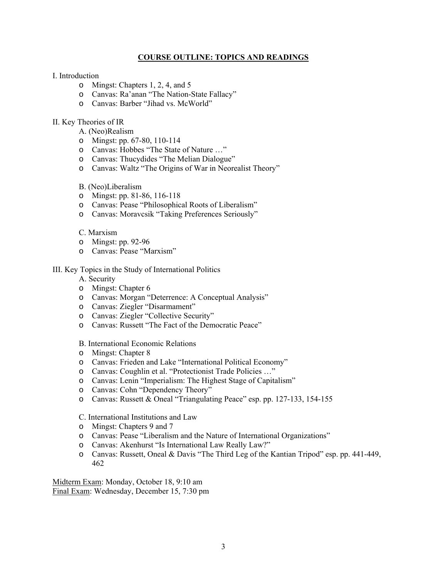# **COURSE OUTLINE: TOPICS AND READINGS**

## I. Introduction

- o Mingst: Chapters 1, 2, 4, and 5
- o Canvas: Ra'anan "The Nation-State Fallacy"
- o Canvas: Barber "Jihad vs. McWorld"

# II. Key Theories of IR

- A. (Neo)Realism
- o Mingst: pp. 67-80, 110-114
- o Canvas: Hobbes "The State of Nature …"
- o Canvas: Thucydides "The Melian Dialogue"
- o Canvas: Waltz "The Origins of War in Neorealist Theory"

## B. (Neo)Liberalism

- o Mingst: pp. 81-86, 116-118
- o Canvas: Pease "Philosophical Roots of Liberalism"
- o Canvas: Moravcsik "Taking Preferences Seriously"

## C. Marxism

- o Mingst: pp. 92-96
- o Canvas: Pease "Marxism"

## III. Key Topics in the Study of International Politics

A. Security

- o Mingst: Chapter 6
- o Canvas: Morgan "Deterrence: A Conceptual Analysis"
- o Canvas: Ziegler "Disarmament"
- o Canvas: Ziegler "Collective Security"
- o Canvas: Russett "The Fact of the Democratic Peace"

#### B. International Economic Relations

- o Mingst: Chapter 8
- o Canvas: Frieden and Lake "International Political Economy"
- o Canvas: Coughlin et al. "Protectionist Trade Policies …"
- o Canvas: Lenin "Imperialism: The Highest Stage of Capitalism"
- o Canvas: Cohn "Dependency Theory"
- o Canvas: Russett & Oneal "Triangulating Peace" esp. pp. 127-133, 154-155

## C. International Institutions and Law

- o Mingst: Chapters 9 and 7
- o Canvas: Pease "Liberalism and the Nature of International Organizations"
- o Canvas: Akenhurst "Is International Law Really Law?"
- o Canvas: Russett, Oneal & Davis "The Third Leg of the Kantian Tripod" esp. pp. 441-449, 462

Midterm Exam: Monday, October 18, 9:10 am Final Exam: Wednesday, December 15, 7:30 pm